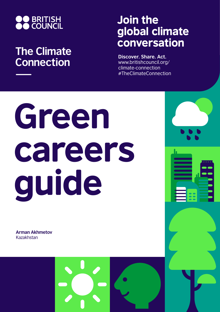

## **The Climate Connection**

## Join the global climate conversation

**Discover. Share. Act.** www.britishcouncil.org/ climate-connection #TheClimateConnection

# Green careers guide

**Arman Akhmetov** Kazakhstan

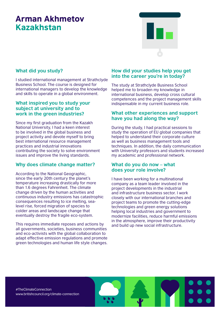### Arman Akhmetov Kazakhstan



#### **What did you study?**

I studied international management at Strathclyde Business School. The course is designed for international managers to develop the knowledge and skills to operate in a global environment.

#### **What inspired you to study your subject at university and to work in the green industries?**

Since my first graduation from the Kazakh National University, I had a keen interest to be involved in the global business and project activity and devote myself to bring best international resource management practices and industrial innovations contributing the society to solve environment issues and improve the living standards.

#### **Why does climate change matter?**

According to the National Geographic, since the early 20th century the planet's temperature increasing drastically for more than 1.6 degrees Fahrenheit. The climate change driven by the human activities and continuous industry emissions has catastrophic consequences resulting to ice melting, sealevel rise, forced migration of species to colder areas and landscape change that eventually destroy the fragile eco-system.

This requires immediate reposes and actions by all governments, societies, business communities and eco-activists with the global collaboration to adapt effective emission regulations and promote green technologies and human life style changes.

#### **How did your studies help you get into the career you're in today?**

The study at Strathclyde Business School helped me to broaden my knowledge in international business, develop cross cultural competences and the project management skills indispensable in my current business role.

#### **What other experiences and support have you had along the way?**

During the study, I had practical sessions to study the operation of EU global companies that helped to understand their corporate culture as well as business management tools and techniques. In addition, the daily communication with University professors and students increased my academic and professional network.

#### **What do you do now – what does your role involve?**

I have been working for a multinational company as a team leader involved in the project developments in the industrial and infrastructure business sector. I work closely with our international branches and project teams to promote the cutting-edge technologies and green energy solutions helping local industries and government to modernize facilities, reduce harmful emissions in the atmosphere, improve their productivity and build up new social infrastructure.

#TheClimateConnection www.britishcouncil.org/climate-connection